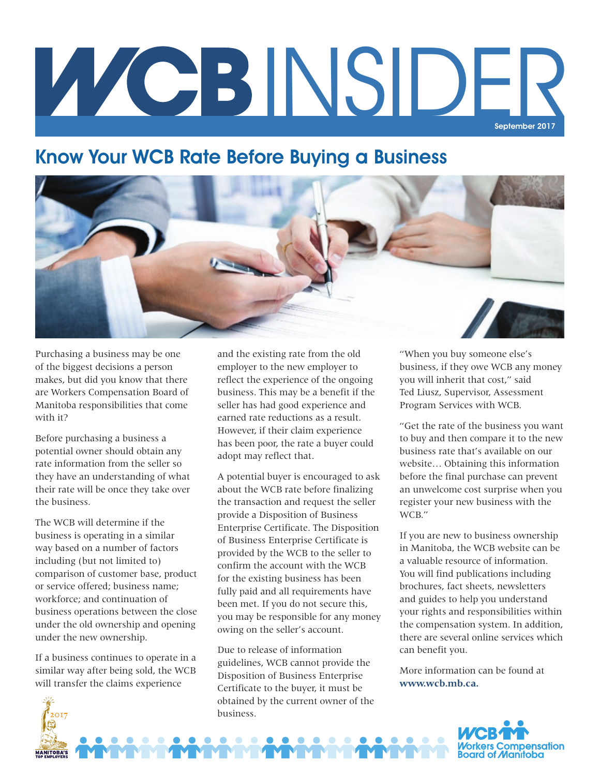# INSIDER September 2017

## Know Your WCB Rate Before Buying a Business



Purchasing a business may be one of the biggest decisions a person makes, but did you know that there are Workers Compensation Board of Manitoba responsibilities that come with it?

Before purchasing a business a potential owner should obtain any rate information from the seller so they have an understanding of what their rate will be once they take over the business.

The WCB will determine if the business is operating in a similar way based on a number of factors including (but not limited to) comparison of customer base, product or service offered; business name; workforce; and continuation of business operations between the close under the old ownership and opening under the new ownership.

If a business continues to operate in a similar way after being sold, the WCB will transfer the claims experience

 $2017$ 

**MANITOBA'S** 

and the existing rate from the old employer to the new employer to reflect the experience of the ongoing business. This may be a benefit if the seller has had good experience and earned rate reductions as a result. However, if their claim experience has been poor, the rate a buyer could adopt may reflect that.

A potential buyer is encouraged to ask about the WCB rate before finalizing the transaction and request the seller provide a Disposition of Business Enterprise Certificate. The Disposition of Business Enterprise Certificate is provided by the WCB to the seller to confirm the account with the WCB for the existing business has been fully paid and all requirements have been met. If you do not secure this, you may be responsible for any money owing on the seller's account.

Due to release of information guidelines, WCB cannot provide the Disposition of Business Enterprise Certificate to the buyer, it must be obtained by the current owner of the business.

"When you buy someone else's business, if they owe WCB any money you will inherit that cost," said Ted Liusz, Supervisor, Assessment Program Services with WCB.

"Get the rate of the business you want to buy and then compare it to the new business rate that's available on our website… Obtaining this information before the final purchase can prevent an unwelcome cost surprise when you register your new business with the WCB."

If you are new to business ownership in Manitoba, the WCB website can be a valuable resource of information. You will find publications including brochures, fact sheets, newsletters and guides to help you understand your rights and responsibilities within the compensation system. In addition, there are several online services which can benefit you.

More information can be found at **www.wcb.mb.ca.**